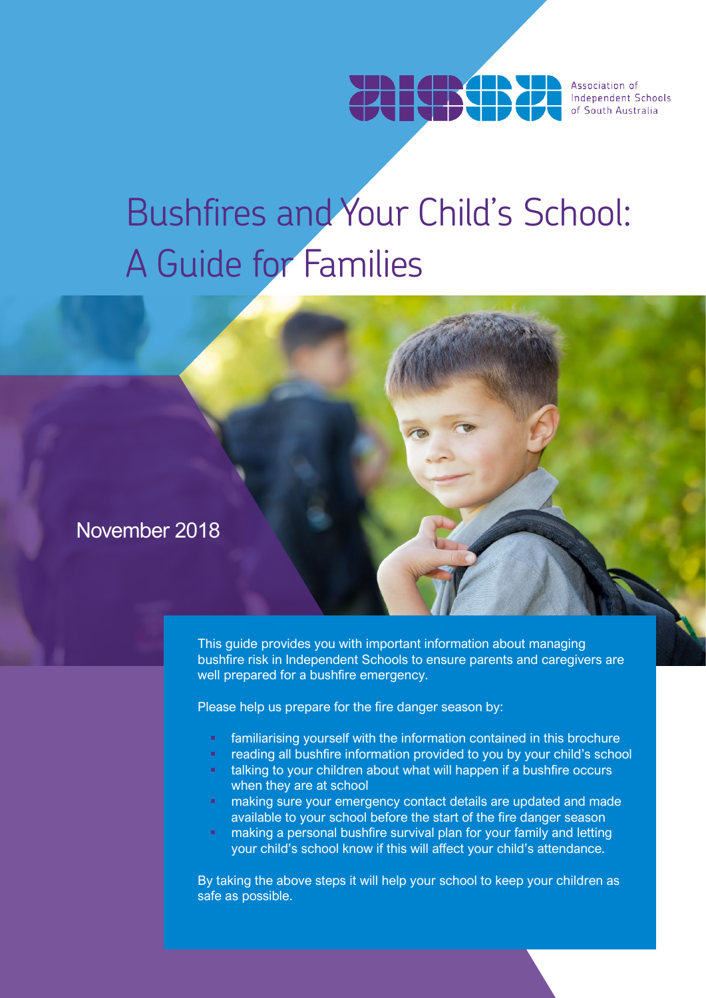

# Bushfires and Your Child's School: A Guide for Families

## November 2018

This guide provides you with important information about managing bushfire risk in Independent Schools to ensure parents and caregivers are well prepared for a bushfire emergency.

Please help us prepare for the fire danger season by:

- familiarising yourself with the information contained in this brochure
- reading all bushfire information provided to you by your child's school
- talking to your children about what will happen if a bushfire occurs when they are at school
- making sure your emergency contact details are updated and made available to your school before the start of the fire danger season
- making a personal bushfire survival plan for your family and letting your child's school know if this will affect your child's attendance.

By taking the above steps it will help your school to keep your children as safe as possible.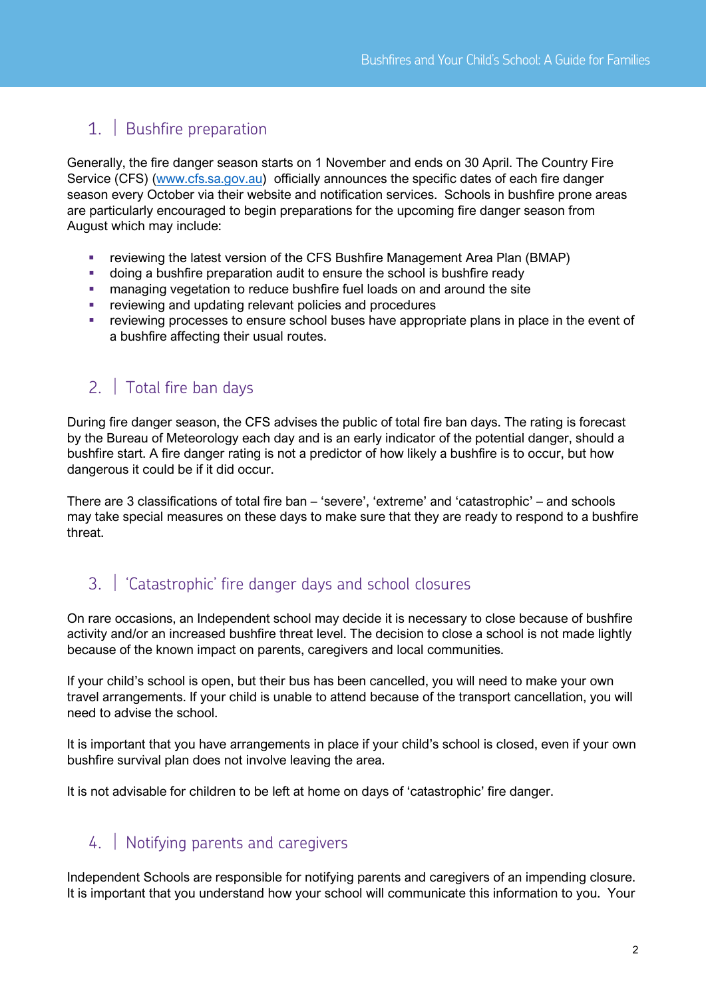## 1. Bushfire preparation

Generally, the fire danger season starts on 1 November and ends on 30 April. The Country Fire Service (CFS) [\(www.cfs.sa.gov.au\)](http://www.cfs.sa.gov.au/) officially announces the specific dates of each fire danger season every October via their website and notification services. Schools in bushfire prone areas are particularly encouraged to begin preparations for the upcoming fire danger season from August which may include:

- reviewing the latest version of the CFS Bushfire Management Area Plan (BMAP)
- doing a bushfire preparation audit to ensure the school is bushfire ready
- managing vegetation to reduce bushfire fuel loads on and around the site
- reviewing and updating relevant policies and procedures
- reviewing processes to ensure school buses have appropriate plans in place in the event of a bushfire affecting their usual routes.

#### 2. Total fire ban days

During fire danger season, the CFS advises the public of total fire ban days. The rating is forecast by the Bureau of Meteorology each day and is an early indicator of the potential danger, should a bushfire start. A fire danger rating is not a predictor of how likely a bushfire is to occur, but how dangerous it could be if it did occur.

There are 3 classifications of total fire ban – 'severe', 'extreme' and 'catastrophic' – and schools may take special measures on these days to make sure that they are ready to respond to a bushfire threat.

#### 3. 'Catastrophic' fire danger days and school closures

On rare occasions, an Independent school may decide it is necessary to close because of bushfire activity and/or an increased bushfire threat level. The decision to close a school is not made lightly because of the known impact on parents, caregivers and local communities.

If your child's school is open, but their bus has been cancelled, you will need to make your own travel arrangements. If your child is unable to attend because of the transport cancellation, you will need to advise the school.

It is important that you have arrangements in place if your child's school is closed, even if your own bushfire survival plan does not involve leaving the area.

It is not advisable for children to be left at home on days of 'catastrophic' fire danger.

#### 4. Notifying parents and caregivers

Independent Schools are responsible for notifying parents and caregivers of an impending closure. It is important that you understand how your school will communicate this information to you. Your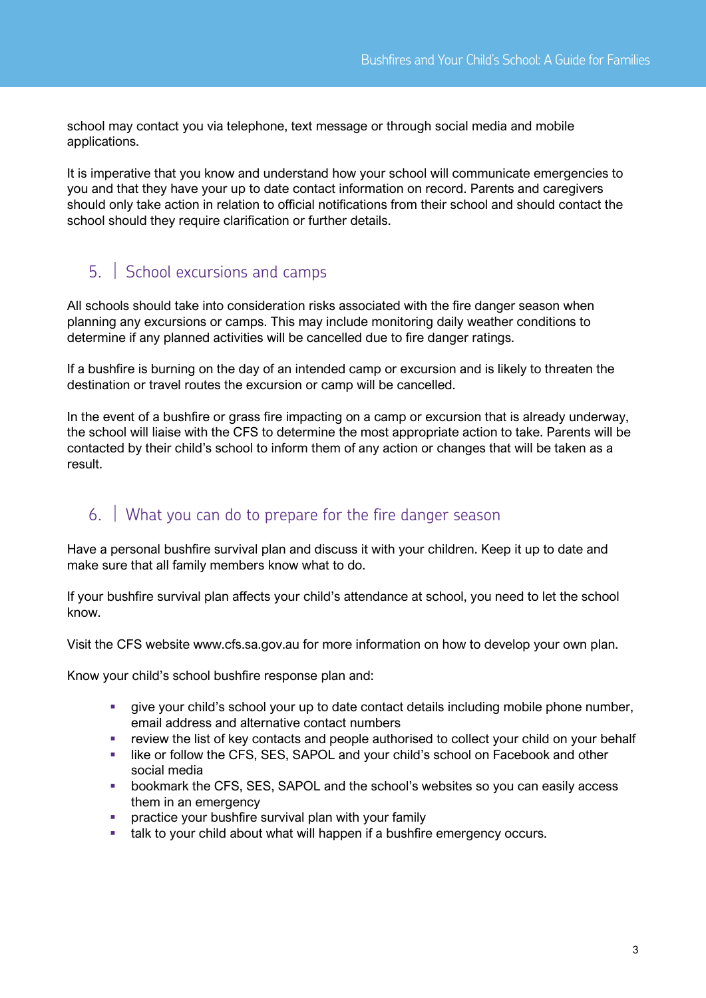school may contact you via telephone, text message or through social media and mobile applications.

It is imperative that you know and understand how your school will communicate emergencies to you and that they have your up to date contact information on record. Parents and caregivers should only take action in relation to official notifications from their school and should contact the school should they require clarification or further details.

#### 5. School excursions and camps

All schools should take into consideration risks associated with the fire danger season when planning any excursions or camps. This may include monitoring daily weather conditions to determine if any planned activities will be cancelled due to fire danger ratings.

If a bushfire is burning on the day of an intended camp or excursion and is likely to threaten the destination or travel routes the excursion or camp will be cancelled.

In the event of a bushfire or grass fire impacting on a camp or excursion that is already underway, the school will liaise with the CFS to determine the most appropriate action to take. Parents will be contacted by their child's school to inform them of any action or changes that will be taken as a result.

### 6. What you can do to prepare for the fire danger season

Have a personal bushfire survival plan and discuss it with your children. Keep it up to date and make sure that all family members know what to do.

If your bushfire survival plan affects your child's attendance at school, you need to let the school know.

Visit the CFS website www.cfs.sa.gov.au for more information on how to develop your own plan.

Know your child's school bushfire response plan and:

- give your child's school your up to date contact details including mobile phone number, email address and alternative contact numbers
- review the list of key contacts and people authorised to collect your child on your behalf
- **EXECT:** like or follow the CFS, SES, SAPOL and your child's school on Facebook and other social media
- bookmark the CFS, SES, SAPOL and the school's websites so you can easily access them in an emergency
- practice your bushfire survival plan with your family
- talk to your child about what will happen if a bushfire emergency occurs.